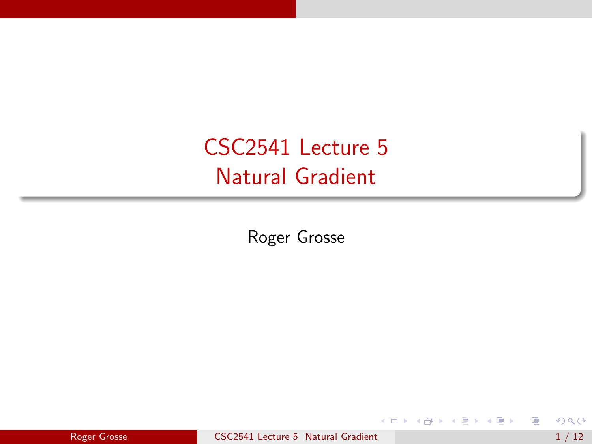# <span id="page-0-0"></span>CSC2541 Lecture 5 Natural Gradient

Roger Grosse

 $\leftarrow$   $\Box$ 

- 4 n⊡  $\blacktriangleright$   $\blacktriangleleft$  目

ヨメ メラメ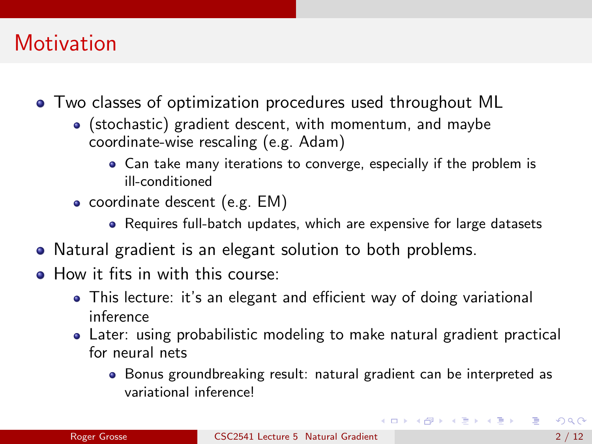# <span id="page-1-0"></span>**Motivation**

- Two classes of optimization procedures used throughout ML
	- (stochastic) gradient descent, with momentum, and maybe coordinate-wise rescaling (e.g. Adam)
		- Can take many iterations to converge, especially if the problem is ill-conditioned
	- coordinate descent (e.g. EM)
		- Requires full-batch updates, which are expensive for large datasets
- Natural gradient is an elegant solution to both problems.
- How it fits in with this course:
	- This lecture: it's an elegant and efficient way of doing variational inference
	- Later: using probabilistic modeling to make natural gradient practical for neural nets
		- Bonus groundbreaking result: natural gradient can be interpreted as variational inference!

**イロト イ何ト イヨト イヨト**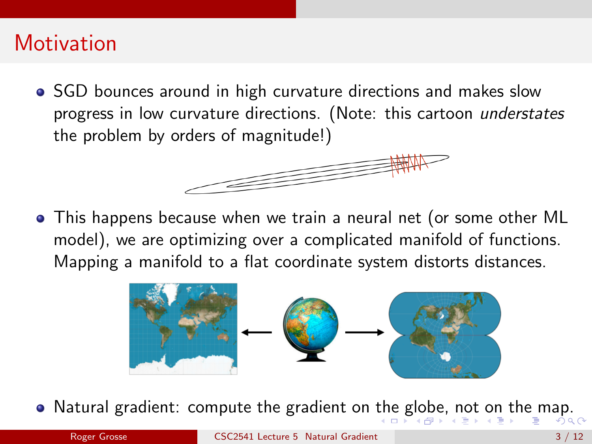## <span id="page-2-0"></span>**Motivation**

• SGD bounces around in high curvature directions and makes slow progress in low curvature directions. (Note: this cartoon understates the problem by orders of magnitude!)



This happens because when we train a neural net (or some other ML model), we are optimizing over a complicated manifold of functions. Mapping a manifold to a flat coordinate system distorts distances.



• Natural gradient: compute [th](#page-1-0)e [g](#page-3-0)radient on the g[l](#page-1-0)[ob](#page-2-0)[e,](#page-3-0) [n](#page-0-0)[ot](#page-11-0) [on](#page-0-0) [t](#page-11-0)[he](#page-0-0) [ma](#page-11-0)p.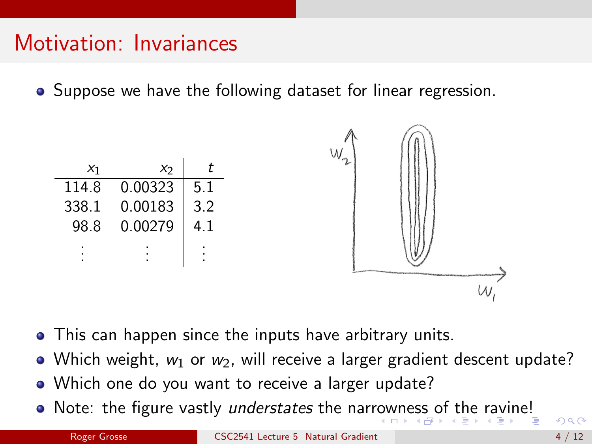## <span id="page-3-0"></span>Motivation: Invariances

• Suppose we have the following dataset for linear regression.



- This can happen since the inputs have arbitrary units.
- Which weight,  $w_1$  or  $w_2$ , will receive a larger gradient descent update?
- Which one do you want to receive a larger update?
- Note: the figure vastly understates the narr[ow](#page-2-0)[ne](#page-4-0)[s](#page-2-0)[s](#page-3-0) [of](#page-4-0) [t](#page-0-0)[he](#page-11-0) [ra](#page-0-0)[vin](#page-11-0)[e!](#page-0-0)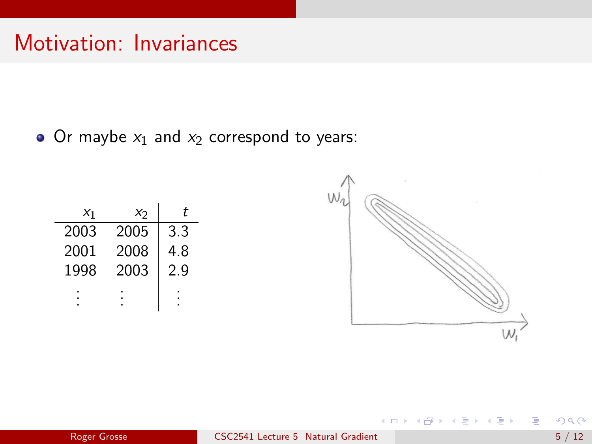## <span id="page-4-0"></span>Motivation: Invariances

• Or maybe  $x_1$  and  $x_2$  correspond to years:

| $x_1$ | X2   | t   |
|-------|------|-----|
| 2003  | 2005 | 3.3 |
| 2001  | 2008 | 4.8 |
| 1998  | 2003 | 2.9 |
|       |      |     |



K ロ ⊁ K 個 ≯ K 君 ⊁ K 君 ≯

目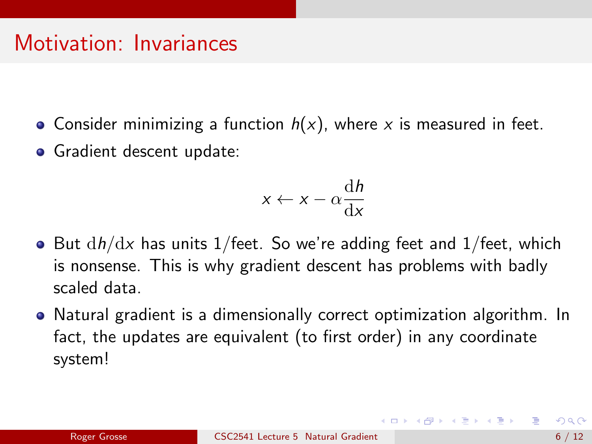#### Motivation: Invariances

- Consider minimizing a function  $h(x)$ , where x is measured in feet.
- Gradient descent update:

$$
x \leftarrow x - \alpha \frac{\mathrm{d}h}{\mathrm{d}x}
$$

- But  $dh/dx$  has units 1/feet. So we're adding feet and 1/feet, which is nonsense. This is why gradient descent has problems with badly scaled data.
- Natural gradient is a dimensionally correct optimization algorithm. In fact, the updates are equivalent (to first order) in any coordinate system!

←ロト ←何ト ←ヨト ←ヨト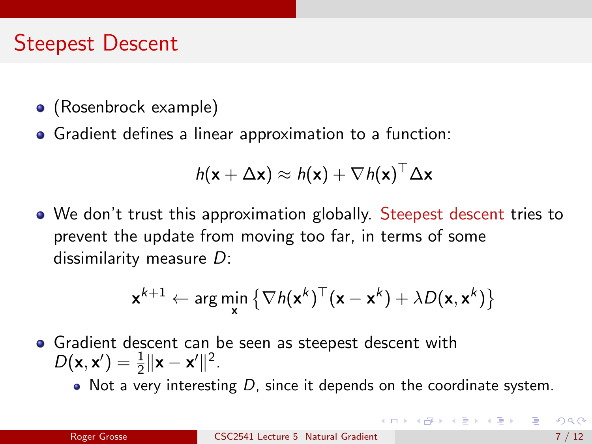## Steepest Descent

- (Rosenbrock example)
- Gradient defines a linear approximation to a function:

$$
h(\mathbf{x} + \Delta \mathbf{x}) \approx h(\mathbf{x}) + \nabla h(\mathbf{x})^{\top} \Delta \mathbf{x}
$$

We don't trust this approximation globally. Steepest descent tries to prevent the update from moving too far, in terms of some dissimilarity measure D:

$$
\mathbf{x}^{k+1} \leftarrow \arg\min_{\mathbf{x}} \left\{ \nabla h(\mathbf{x}^k)^\top (\mathbf{x} - \mathbf{x}^k) + \lambda D(\mathbf{x}, \mathbf{x}^k) \right\}
$$

- Gradient descent can be seen as steepest descent with  $D(x, x') = \frac{1}{2} ||x - x'||^2.$ 
	- $\bullet$  Not a very interesting D, since it depends on the coordinate system.

(ロ) (個) (目) (言)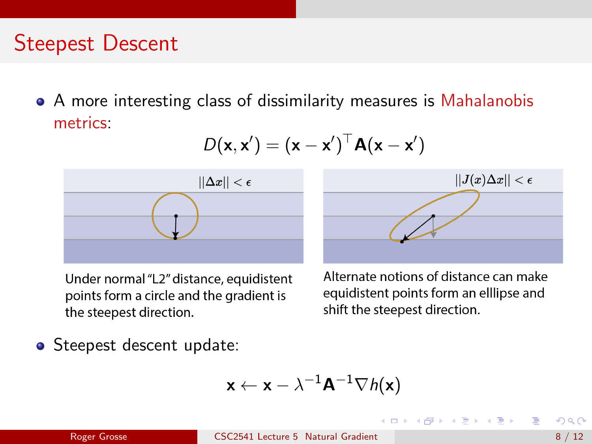## Steepest Descent

A more interesting class of dissimilarity measures is Mahalanobis metrics:

$$
D(\mathbf{x}, \mathbf{x}') = (\mathbf{x} - \mathbf{x}')^\top \mathbf{A}(\mathbf{x} - \mathbf{x}')
$$



Under normal "L2" distance, equidistent points form a circle and the gradient is the steepest direction.



Alternate notions of distance can make equidistent points form an elllipse and shift the steepest direction.

 $\mathcal{A} \cap \mathbb{P} \rightarrow \mathcal{A} \supseteq \mathcal{A} \rightarrow \mathcal{A} \supseteq \mathcal{A}$ 

• Steepest descent update:

$$
\textbf{x} \leftarrow \textbf{x} - \lambda^{-1} \textbf{A}^{-1} \nabla h(\textbf{x})
$$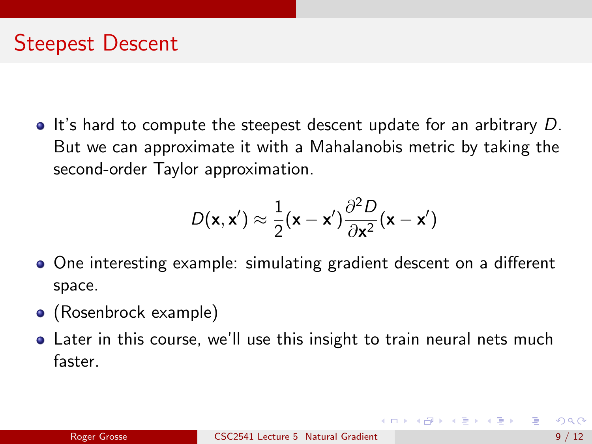It's hard to compute the steepest descent update for an arbitrary  $D$ . But we can approximate it with a Mahalanobis metric by taking the second-order Taylor approximation.

$$
D(\mathbf{x}, \mathbf{x}') \approx \frac{1}{2}(\mathbf{x} - \mathbf{x}') \frac{\partial^2 D}{\partial \mathbf{x}^2}(\mathbf{x} - \mathbf{x}')
$$

- One interesting example: simulating gradient descent on a different space.
- (Rosenbrock example)
- Later in this course, we'll use this insight to train neural nets much faster.

 $A \oplus B$   $A \oplus B$   $A \oplus B$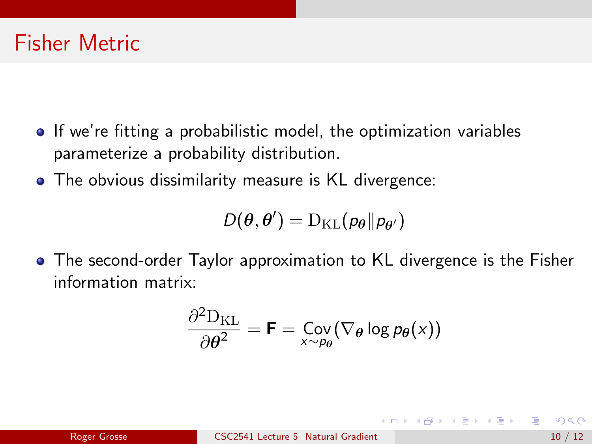#### Fisher Metric

- If we're fitting a probabilistic model, the optimization variables parameterize a probability distribution.
- The obvious dissimilarity measure is KL divergence:

$$
D(\boldsymbol{\theta},\boldsymbol{\theta}')=\mathrm{D}_{\mathrm{KL}}(\rho_{\boldsymbol{\theta}}\|\rho_{\boldsymbol{\theta}'})
$$

The second-order Taylor approximation to KL divergence is the Fisher information matrix:

$$
\frac{\partial^2 \mathrm{D}_{\mathrm{KL}}}{\partial \theta^2} = \mathbf{F} = \mathop{\mathrm{Cov}}_{x \sim \rho_{\theta}} (\nabla_{\theta} \log p_{\theta}(x))
$$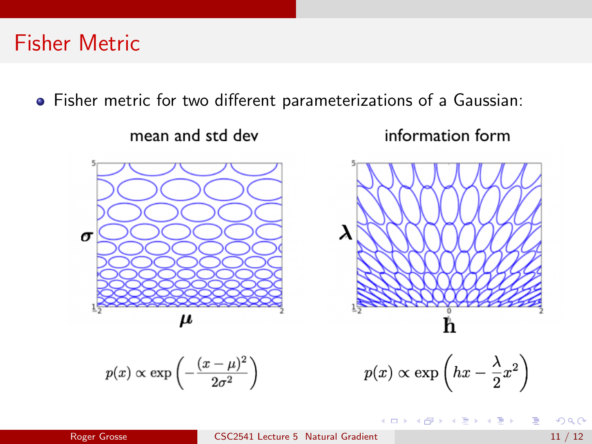#### Fisher Metric

Fisher metric for two different parameterizations of a Gaussian:



$$
p(x) \propto \exp\left(-\frac{(x-\mu)^2}{2\sigma^2}\right)
$$

イロト イ母 トイヨ トイヨト